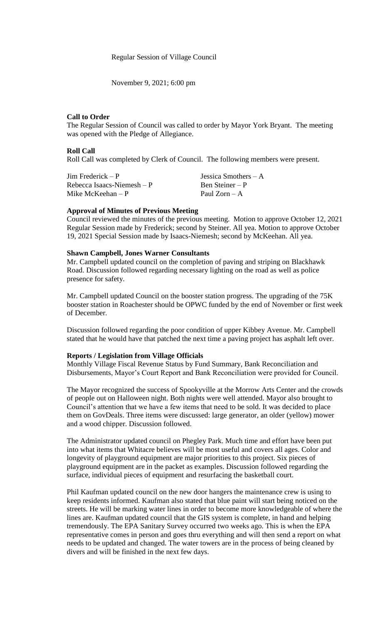## Regular Session of Village Council

November 9, 2021; 6:00 pm

# **Call to Order**

The Regular Session of Council was called to order by Mayor York Bryant. The meeting was opened with the Pledge of Allegiance.

#### **Roll Call**

Roll Call was completed by Clerk of Council. The following members were present.

| $\text{Jim Frederick} - \text{P}$ | Jessica Smothers $-A$ |
|-----------------------------------|-----------------------|
| Rebecca Isaacs-Niemesh $-P$       | Ben Steiner – P       |
| Mike McKeehan – P                 | Paul $Zorn - A$       |

### **Approval of Minutes of Previous Meeting**

Council reviewed the minutes of the previous meeting. Motion to approve October 12, 2021 Regular Session made by Frederick; second by Steiner. All yea. Motion to approve October 19, 2021 Special Session made by Isaacs-Niemesh; second by McKeehan. All yea.

### **Shawn Campbell, Jones Warner Consultants**

Mr. Campbell updated council on the completion of paving and striping on Blackhawk Road. Discussion followed regarding necessary lighting on the road as well as police presence for safety.

Mr. Campbell updated Council on the booster station progress. The upgrading of the 75K booster station in Roachester should be OPWC funded by the end of November or first week of December.

Discussion followed regarding the poor condition of upper Kibbey Avenue. Mr. Campbell stated that he would have that patched the next time a paving project has asphalt left over.

#### **Reports / Legislation from Village Officials**

Monthly Village Fiscal Revenue Status by Fund Summary, Bank Reconciliation and Disbursements, Mayor's Court Report and Bank Reconciliation were provided for Council.

The Mayor recognized the success of Spookyville at the Morrow Arts Center and the crowds of people out on Halloween night. Both nights were well attended. Mayor also brought to Council's attention that we have a few items that need to be sold. It was decided to place them on GovDeals. Three items were discussed: large generator, an older (yellow) mower and a wood chipper. Discussion followed.

The Administrator updated council on Phegley Park. Much time and effort have been put into what items that Whitacre believes will be most useful and covers all ages. Color and longevity of playground equipment are major priorities to this project. Six pieces of playground equipment are in the packet as examples. Discussion followed regarding the surface, individual pieces of equipment and resurfacing the basketball court.

Phil Kaufman updated council on the new door hangers the maintenance crew is using to keep residents informed. Kaufman also stated that blue paint will start being noticed on the streets. He will be marking water lines in order to become more knowledgeable of where the lines are. Kaufman updated council that the GIS system is complete, in hand and helping tremendously. The EPA Sanitary Survey occurred two weeks ago. This is when the EPA representative comes in person and goes thru everything and will then send a report on what needs to be updated and changed. The water towers are in the process of being cleaned by divers and will be finished in the next few days.